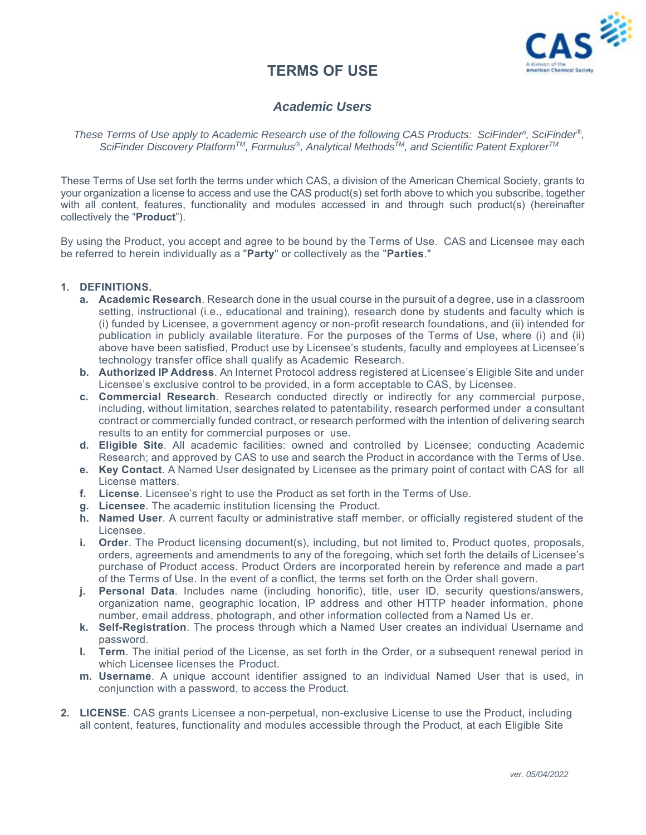# **TERMS OF USE**



# *Academic Users*

*These Terms of Use apply to Academic Research use of the following CAS Products: SciFindern, SciFinder®, SciFinder Discovery PlatformTM, Formulus®, Analytical MethodsTM, and Scientific Patent ExplorerTM*

These Terms of Use set forth the terms under which CAS, a division of the American Chemical Society, grants to your organization a license to access and use the CAS product(s) set forth above to which you subscribe, together with all content, features, functionality and modules accessed in and through such product(s) (hereinafter collectively the "**Product**").

By using the Product, you accept and agree to be bound by the Terms of Use. CAS and Licensee may each be referred to herein individually as a "**Party**" or collectively as the "**Parties**."

#### **1. DEFINITIONS.**

- **a. Academic Research**. Research done in the usual course in the pursuit of a degree, use in a classroom setting, instructional (i.e., educational and training), research done by students and faculty which is (i) funded by Licensee, a government agency or non-profit research foundations, and (ii) intended for publication in publicly available literature. For the purposes of the Terms of Use, where (i) and (ii) above have been satisfied, Product use by Licensee's students, faculty and employees at Licensee's technology transfer office shall qualify as Academic Research.
- **b. Authorized IP Address**. An Internet Protocol address registered at Licensee's Eligible Site and under Licensee's exclusive control to be provided, in a form acceptable to CAS, by Licensee.
- **c. Commercial Research**. Research conducted directly or indirectly for any commercial purpose, including, without limitation, searches related to patentability, research performed under a consultant contract or commercially funded contract, or research performed with the intention of delivering search results to an entity for commercial purposes or use.
- **d. Eligible Site**. All academic facilities: owned and controlled by Licensee; conducting Academic Research; and approved by CAS to use and search the Product in accordance with the Terms of Use.
- **e. Key Contact**. A Named User designated by Licensee as the primary point of contact with CAS for all License matters.
- **f. License**. Licensee's right to use the Product as set forth in the Terms of Use.
- **g. Licensee**. The academic institution licensing the Product.
- **h. Named User**. A current faculty or administrative staff member, or officially registered student of the Licensee.
- **i. Order**. The Product licensing document(s), including, but not limited to, Product quotes, proposals, orders, agreements and amendments to any of the foregoing, which set forth the details of Licensee's purchase of Product access. Product Orders are incorporated herein by reference and made a part of the Terms of Use. In the event of a conflict, the terms set forth on the Order shall govern.
- **j. Personal Data**. Includes name (including honorific), title, user ID, security questions/answers, organization name, geographic location, IP address and other HTTP header information, phone number, email address, photograph, and other information collected from a Named Us er.
- **k. Self-Registration**. The process through which a Named User creates an individual Username and password.
- **l. Term**. The initial period of the License, as set forth in the Order, or a subsequent renewal period in which Licensee licenses the Product.
- **m. Username**. A unique account identifier assigned to an individual Named User that is used, in conjunction with a password, to access the Product.
- **2. LICENSE**. CAS grants Licensee a non-perpetual, non-exclusive License to use the Product, including all content, features, functionality and modules accessible through the Product, at each Eligible Site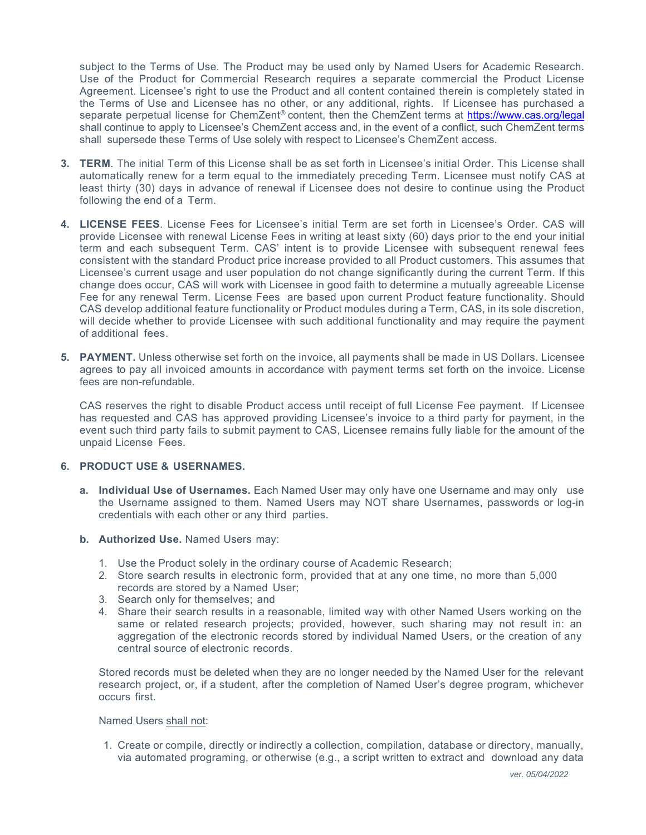subject to the Terms of Use. The Product may be used only by Named Users for Academic Research. Use of the Product for Commercial Research requires a separate commercial the Product License Agreement. Licensee's right to use the Product and all content contained therein is completely stated in the Terms of Use and Licensee has no other, or any additional, rights. If Licensee has purchased a separate perpetual license for ChemZent® content, then the ChemZent terms at https://www.cas.org/legal shall continue to apply to Licensee's ChemZent access and, in the event of a conflict, such ChemZent terms shall supersede these Terms of Use solely with respect to Licensee's ChemZent access.

- **3. TERM**. The initial Term of this License shall be as set forth in Licensee's initial Order. This License shall automatically renew for a term equal to the immediately preceding Term. Licensee must notify CAS at least thirty (30) days in advance of renewal if Licensee does not desire to continue using the Product following the end of a Term.
- **4. LICENSE FEES**. License Fees for Licensee's initial Term are set forth in Licensee's Order. CAS will provide Licensee with renewal License Fees in writing at least sixty (60) days prior to the end your initial term and each subsequent Term. CAS' intent is to provide Licensee with subsequent renewal fees consistent with the standard Product price increase provided to all Product customers. This assumes that Licensee's current usage and user population do not change significantly during the current Term. If this change does occur, CAS will work with Licensee in good faith to determine a mutually agreeable License Fee for any renewal Term. License Fees are based upon current Product feature functionality. Should CAS develop additional feature functionality or Product modules during a Term, CAS, in its sole discretion, will decide whether to provide Licensee with such additional functionality and may require the payment of additional fees.
- **5. PAYMENT.** Unless otherwise set forth on the invoice, all payments shall be made in US Dollars. Licensee agrees to pay all invoiced amounts in accordance with payment terms set forth on the invoice. License fees are non-refundable.

CAS reserves the right to disable Product access until receipt of full License Fee payment. If Licensee has requested and CAS has approved providing Licensee's invoice to a third party for payment, in the event such third party fails to submit payment to CAS, Licensee remains fully liable for the amount of the unpaid License Fees.

## **6. PRODUCT USE & USERNAMES.**

- **a. Individual Use of Usernames.** Each Named User may only have one Username and may only use the Username assigned to them. Named Users may NOT share Usernames, passwords or log-in credentials with each other or any third parties.
- **b. Authorized Use.** Named Users may:
	- 1. Use the Product solely in the ordinary course of Academic Research;
	- 2. Store search results in electronic form, provided that at any one time, no more than 5,000 records are stored by a Named User;
	- 3. Search only for themselves; and
	- 4. Share their search results in a reasonable, limited way with other Named Users working on the same or related research projects; provided, however, such sharing may not result in: an aggregation of the electronic records stored by individual Named Users, or the creation of any central source of electronic records.

Stored records must be deleted when they are no longer needed by the Named User for the relevant research project, or, if a student, after the completion of Named User's degree program, whichever occurs first.

Named Users shall not:

1. Create or compile, directly or indirectly a collection, compilation, database or directory, manually, via automated programing, or otherwise (e.g., a script written to extract and download any data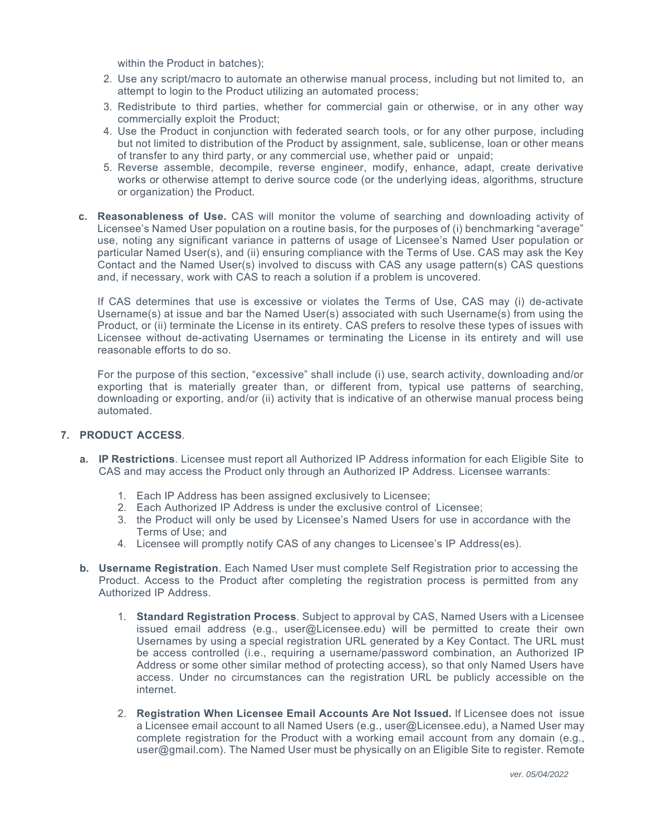within the Product in batches);

- 2. Use any script/macro to automate an otherwise manual process, including but not limited to, an attempt to login to the Product utilizing an automated process;
- 3. Redistribute to third parties, whether for commercial gain or otherwise, or in any other way commercially exploit the Product;
- 4. Use the Product in conjunction with federated search tools, or for any other purpose, including but not limited to distribution of the Product by assignment, sale, sublicense, loan or other means of transfer to any third party, or any commercial use, whether paid or unpaid;
- 5. Reverse assemble, decompile, reverse engineer, modify, enhance, adapt, create derivative works or otherwise attempt to derive source code (or the underlying ideas, algorithms, structure or organization) the Product.
- **c. Reasonableness of Use.** CAS will monitor the volume of searching and downloading activity of Licensee's Named User population on a routine basis, for the purposes of (i) benchmarking "average" use, noting any significant variance in patterns of usage of Licensee's Named User population or particular Named User(s), and (ii) ensuring compliance with the Terms of Use. CAS may ask the Key Contact and the Named User(s) involved to discuss with CAS any usage pattern(s) CAS questions and, if necessary, work with CAS to reach a solution if a problem is uncovered.

If CAS determines that use is excessive or violates the Terms of Use, CAS may (i) de-activate Username(s) at issue and bar the Named User(s) associated with such Username(s) from using the Product, or (ii) terminate the License in its entirety. CAS prefers to resolve these types of issues with Licensee without de-activating Usernames or terminating the License in its entirety and will use reasonable efforts to do so.

For the purpose of this section, "excessive" shall include (i) use, search activity, downloading and/or exporting that is materially greater than, or different from, typical use patterns of searching, downloading or exporting, and/or (ii) activity that is indicative of an otherwise manual process being automated.

# **7. PRODUCT ACCESS**.

- **a. IP Restrictions**. Licensee must report all Authorized IP Address information for each Eligible Site to CAS and may access the Product only through an Authorized IP Address. Licensee warrants:
	- 1. Each IP Address has been assigned exclusively to Licensee;
	- 2. Each Authorized IP Address is under the exclusive control of Licensee;
	- 3. the Product will only be used by Licensee's Named Users for use in accordance with the Terms of Use; and
	- 4. Licensee will promptly notify CAS of any changes to Licensee's IP Address(es).
- **b. Username Registration**. Each Named User must complete Self Registration prior to accessing the Product. Access to the Product after completing the registration process is permitted from any Authorized IP Address.
	- 1. **Standard Registration Process**. Subject to approval by CAS, Named Users with a Licensee issued email address (e.g., user@Licensee.edu) will be permitted to create their own Usernames by using a special registration URL generated by a Key Contact. The URL must be access controlled (i.e., requiring a username/password combination, an Authorized IP Address or some other similar method of protecting access), so that only Named Users have access. Under no circumstances can the registration URL be publicly accessible on the internet.
	- 2. **Registration When Licensee Email Accounts Are Not Issued.** If Licensee does not issue a Licensee email account to all Named Users (e.g., user@Licensee.edu), a Named User may complete registration for the Product with a working email account from any domain (e.g., user@gmail.com). The Named User must be physically on an Eligible Site to register. Remote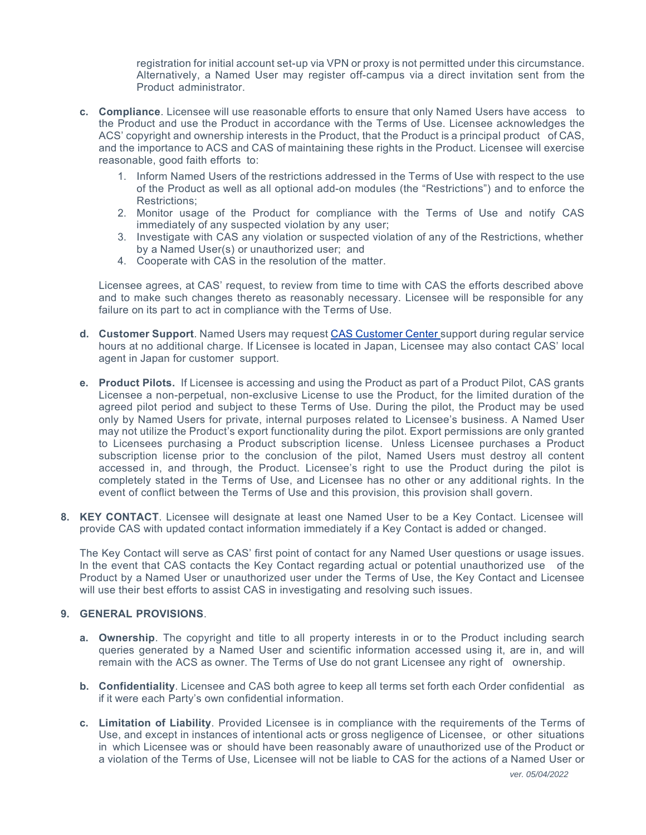registration for initial account set-up via VPN or proxy is not permitted under this circumstance. Alternatively, a Named User may register off-campus via a direct invitation sent from the Product administrator.

- **c. Compliance**. Licensee will use reasonable efforts to ensure that only Named Users have access to the Product and use the Product in accordance with the Terms of Use. Licensee acknowledges the ACS' copyright and ownership interests in the Product, that the Product is a principal product of CAS, and the importance to ACS and CAS of maintaining these rights in the Product. Licensee will exercise reasonable, good faith efforts to:
	- 1. Inform Named Users of the restrictions addressed in the Terms of Use with respect to the use of the Product as well as all optional add-on modules (the "Restrictions") and to enforce the Restrictions;
	- 2. Monitor usage of the Product for compliance with the Terms of Use and notify CAS immediately of any suspected violation by any user;
	- 3. Investigate with CAS any violation or suspected violation of any of the Restrictions, whether by a Named User(s) or unauthorized user; and
	- 4. Cooperate with CAS in the resolution of the matter.

Licensee agrees, at CAS' request, to review from time to time with CAS the efforts described above and to make such changes thereto as reasonably necessary. Licensee will be responsible for any failure on its part to act in compliance with the Terms of Use.

- **d. Customer Support**. Named Users may request CAS Customer Center support during regular service hours at no additional charge. If Licensee is located in Japan, Licensee may also contact CAS' local agent in Japan for customer support.
- **e. Product Pilots.** If Licensee is accessing and using the Product as part of a Product Pilot, CAS grants Licensee a non-perpetual, non-exclusive License to use the Product, for the limited duration of the agreed pilot period and subject to these Terms of Use. During the pilot, the Product may be used only by Named Users for private, internal purposes related to Licensee's business. A Named User may not utilize the Product's export functionality during the pilot. Export permissions are only granted to Licensees purchasing a Product subscription license. Unless Licensee purchases a Product subscription license prior to the conclusion of the pilot, Named Users must destroy all content accessed in, and through, the Product. Licensee's right to use the Product during the pilot is completely stated in the Terms of Use, and Licensee has no other or any additional rights. In the event of conflict between the Terms of Use and this provision, this provision shall govern.
- **8. KEY CONTACT**. Licensee will designate at least one Named User to be a Key Contact. Licensee will provide CAS with updated contact information immediately if a Key Contact is added or changed.

The Key Contact will serve as CAS' first point of contact for any Named User questions or usage issues. In the event that CAS contacts the Key Contact regarding actual or potential unauthorized use of the Product by a Named User or unauthorized user under the Terms of Use, the Key Contact and Licensee will use their best efforts to assist CAS in investigating and resolving such issues.

## **9. GENERAL PROVISIONS**.

- **a. Ownership**. The copyright and title to all property interests in or to the Product including search queries generated by a Named User and scientific information accessed using it, are in, and will remain with the ACS as owner. The Terms of Use do not grant Licensee any right of ownership.
- **b. Confidentiality**. Licensee and CAS both agree to keep all terms set forth each Order confidential as if it were each Party's own confidential information.
- **c. Limitation of Liability**. Provided Licensee is in compliance with the requirements of the Terms of Use, and except in instances of intentional acts or gross negligence of Licensee, or other situations in which Licensee was or should have been reasonably aware of unauthorized use of the Product or a violation of the Terms of Use, Licensee will not be liable to CAS for the actions of a Named User or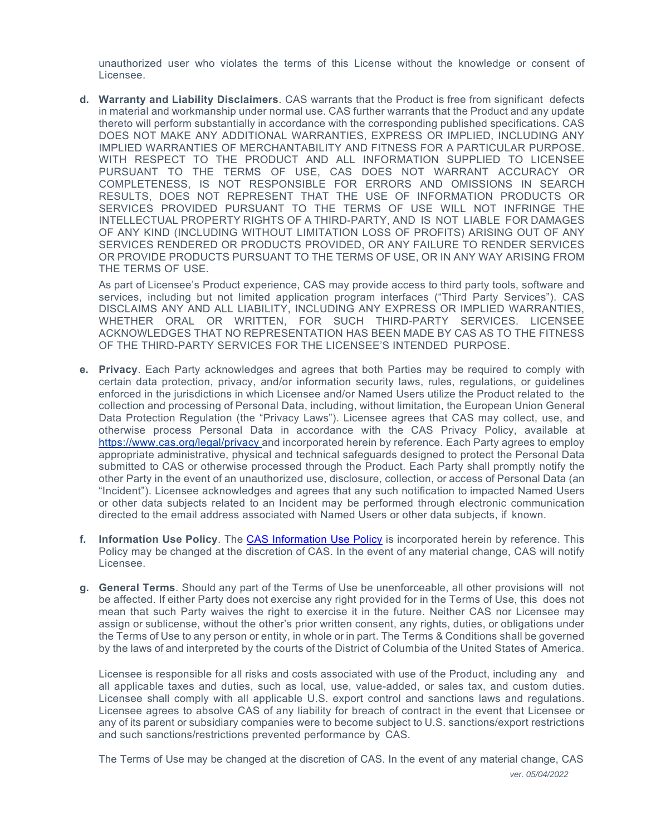unauthorized user who violates the terms of this License without the knowledge or consent of Licensee.

**d. Warranty and Liability Disclaimers**. CAS warrants that the Product is free from significant defects in material and workmanship under normal use. CAS further warrants that the Product and any update thereto will perform substantially in accordance with the corresponding published specifications. CAS DOES NOT MAKE ANY ADDITIONAL WARRANTIES, EXPRESS OR IMPLIED, INCLUDING ANY IMPLIED WARRANTIES OF MERCHANTABILITY AND FITNESS FOR A PARTICULAR PURPOSE. WITH RESPECT TO THE PRODUCT AND ALL INFORMATION SUPPLIED TO LICENSEE PURSUANT TO THE TERMS OF USE, CAS DOES NOT WARRANT ACCURACY OR COMPLETENESS, IS NOT RESPONSIBLE FOR ERRORS AND OMISSIONS IN SEARCH RESULTS, DOES NOT REPRESENT THAT THE USE OF INFORMATION PRODUCTS OR SERVICES PROVIDED PURSUANT TO THE TERMS OF USE WILL NOT INFRINGE THE INTELLECTUAL PROPERTY RIGHTS OF A THIRD-PARTY, AND IS NOT LIABLE FOR DAMAGES OF ANY KIND (INCLUDING WITHOUT LIMITATION LOSS OF PROFITS) ARISING OUT OF ANY SERVICES RENDERED OR PRODUCTS PROVIDED, OR ANY FAILURE TO RENDER SERVICES OR PROVIDE PRODUCTS PURSUANT TO THE TERMS OF USE, OR IN ANY WAY ARISING FROM THE TERMS OF USE.

As part of Licensee's Product experience, CAS may provide access to third party tools, software and services, including but not limited application program interfaces ("Third Party Services"). CAS DISCLAIMS ANY AND ALL LIABILITY, INCLUDING ANY EXPRESS OR IMPLIED WARRANTIES, WHETHER ORAL OR WRITTEN, FOR SUCH THIRD-PARTY SERVICES. LICENSEE ACKNOWLEDGES THAT NO REPRESENTATION HAS BEEN MADE BY CAS AS TO THE FITNESS OF THE THIRD-PARTY SERVICES FOR THE LICENSEE'S INTENDED PURPOSE.

- **e. Privacy**. Each Party acknowledges and agrees that both Parties may be required to comply with certain data protection, privacy, and/or information security laws, rules, regulations, or guidelines enforced in the jurisdictions in which Licensee and/or Named Users utilize the Product related to the collection and processing of Personal Data, including, without limitation, the European Union General Data Protection Regulation (the "Privacy Laws"). Licensee agrees that CAS may collect, use, and otherwise process Personal Data in accordance with the CAS Privacy Policy, available at https://www.cas.org/legal/privacy and incorporated herein by reference. Each Party agrees to employ appropriate administrative, physical and technical safeguards designed to protect the Personal Data submitted to CAS or otherwise processed through the Product. Each Party shall promptly notify the other Party in the event of an unauthorized use, disclosure, collection, or access of Personal Data (an "Incident"). Licensee acknowledges and agrees that any such notification to impacted Named Users or other data subjects related to an Incident may be performed through electronic communication directed to the email address associated with Named Users or other data subjects, if known.
- **f. Information Use Policy**. The CAS Information Use Policy is incorporated herein by reference. This Policy may be changed at the discretion of CAS. In the event of any material change, CAS will notify Licensee.
- **g. General Terms**. Should any part of the Terms of Use be unenforceable, all other provisions will not be affected. If either Party does not exercise any right provided for in the Terms of Use, this does not mean that such Party waives the right to exercise it in the future. Neither CAS nor Licensee may assign or sublicense, without the other's prior written consent, any rights, duties, or obligations under the Terms of Use to any person or entity, in whole or in part. The Terms & Conditions shall be governed by the laws of and interpreted by the courts of the District of Columbia of the United States of America.

Licensee is responsible for all risks and costs associated with use of the Product, including any and all applicable taxes and duties, such as local, use, value-added, or sales tax, and custom duties. Licensee shall comply with all applicable U.S. export control and sanctions laws and regulations. Licensee agrees to absolve CAS of any liability for breach of contract in the event that Licensee or any of its parent or subsidiary companies were to become subject to U.S. sanctions/export restrictions and such sanctions/restrictions prevented performance by CAS.

*ver. 05/04/2022* The Terms of Use may be changed at the discretion of CAS. In the event of any material change, CAS